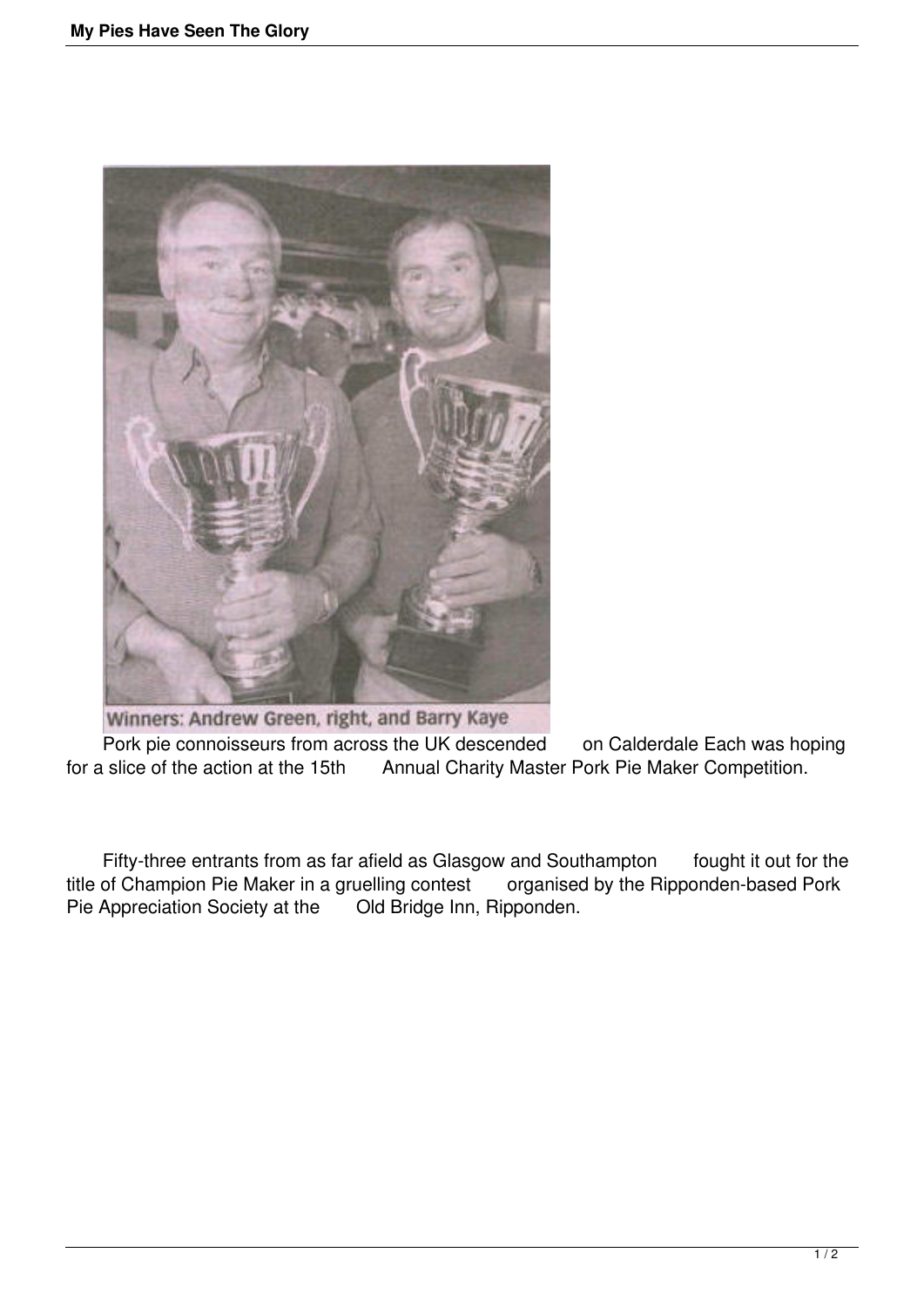

Winners: Andrew Green, right, and Barry Kaye

Pork pie connoisseurs from across the UK descended on Calderdale Each was hoping<br>for a slice of the action at the 15th Annual Charity Master Pork Pie Maker Competition. Annual Charity Master Pork Pie Maker Competition.

Fifty-three entrants from as far afield as Glasgow and Southampton fought it out for the of Champion Pie Maker in a gruelling contest organised by the Ripponden-based Pork title of Champion Pie Maker in a gruelling contest Pie Appreciation Society at the Old Bridge Inn, Ripponden.